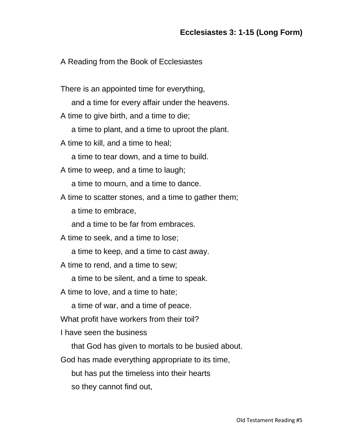## A Reading from the Book of Ecclesiastes

There is an appointed time for everything,

and a time for every affair under the heavens.

A time to give birth, and a time to die;

a time to plant, and a time to uproot the plant.

A time to kill, and a time to heal;

a time to tear down, and a time to build.

A time to weep, and a time to laugh;

a time to mourn, and a time to dance.

A time to scatter stones, and a time to gather them;

a time to embrace,

and a time to be far from embraces.

A time to seek, and a time to lose;

a time to keep, and a time to cast away.

A time to rend, and a time to sew;

a time to be silent, and a time to speak.

A time to love, and a time to hate;

a time of war, and a time of peace.

What profit have workers from their toil?

I have seen the business

that God has given to mortals to be busied about.

God has made everything appropriate to its time,

but has put the timeless into their hearts

so they cannot find out,